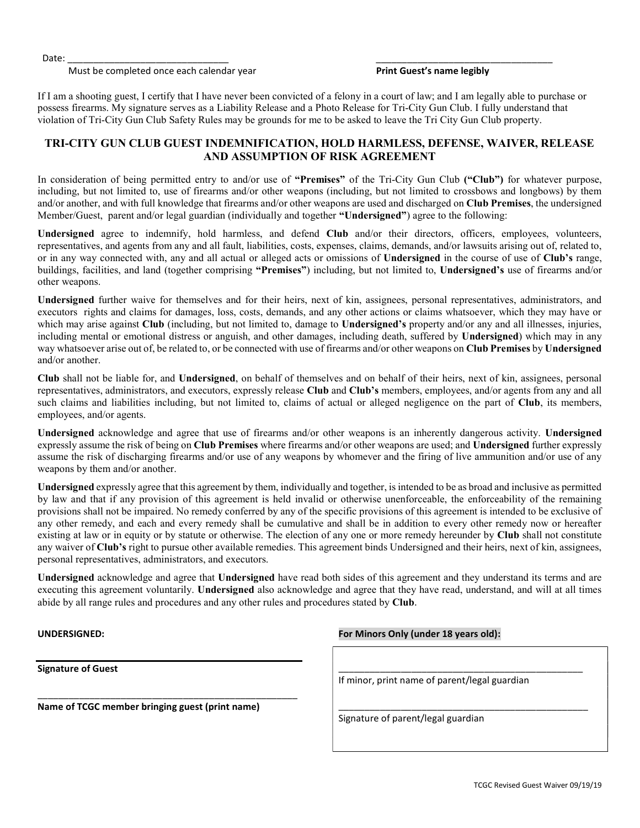Date: \_\_\_\_\_\_\_\_\_\_\_\_\_\_\_\_\_\_\_\_\_\_\_\_\_\_\_\_\_\_\_ \_\_\_\_\_\_\_\_\_\_\_\_\_\_\_\_\_\_\_\_\_\_\_\_\_\_\_\_\_\_\_\_\_\_

Must be completed once each calendar year **Print Guest's name legibly** 

If I am a shooting guest, I certify that I have never been convicted of a felony in a court of law; and I am legally able to purchase or possess firearms. My signature serves as a Liability Release and a Photo Release for Tri-City Gun Club. I fully understand that violation of Tri-City Gun Club Safety Rules may be grounds for me to be asked to leave the Tri City Gun Club property.

## TRI-CITY GUN CLUB GUEST INDEMNIFICATION, HOLD HARMLESS, DEFENSE, WAIVER, RELEASE AND ASSUMPTION OF RISK AGREEMENT

In consideration of being permitted entry to and/or use of "Premises" of the Tri-City Gun Club ("Club") for whatever purpose, including, but not limited to, use of firearms and/or other weapons (including, but not limited to crossbows and longbows) by them and/or another, and with full knowledge that firearms and/or other weapons are used and discharged on Club Premises, the undersigned Member/Guest, parent and/or legal guardian (individually and together "Undersigned") agree to the following:

Undersigned agree to indemnify, hold harmless, and defend Club and/or their directors, officers, employees, volunteers, representatives, and agents from any and all fault, liabilities, costs, expenses, claims, demands, and/or lawsuits arising out of, related to, or in any way connected with, any and all actual or alleged acts or omissions of Undersigned in the course of use of Club's range, buildings, facilities, and land (together comprising "Premises") including, but not limited to, Undersigned's use of firearms and/or other weapons.

Undersigned further waive for themselves and for their heirs, next of kin, assignees, personal representatives, administrators, and executors rights and claims for damages, loss, costs, demands, and any other actions or claims whatsoever, which they may have or which may arise against Club (including, but not limited to, damage to Undersigned's property and/or any and all illnesses, injuries, including mental or emotional distress or anguish, and other damages, including death, suffered by Undersigned) which may in any way whatsoever arise out of, be related to, or be connected with use of firearms and/or other weapons on Club Premises by Undersigned and/or another.

Club shall not be liable for, and Undersigned, on behalf of themselves and on behalf of their heirs, next of kin, assignees, personal representatives, administrators, and executors, expressly release Club and Club's members, employees, and/or agents from any and all such claims and liabilities including, but not limited to, claims of actual or alleged negligence on the part of Club, its members, employees, and/or agents.

Undersigned acknowledge and agree that use of firearms and/or other weapons is an inherently dangerous activity. Undersigned expressly assume the risk of being on Club Premises where firearms and/or other weapons are used; and Undersigned further expressly assume the risk of discharging firearms and/or use of any weapons by whomever and the firing of live ammunition and/or use of any weapons by them and/or another.

Undersigned expressly agree that this agreement by them, individually and together, is intended to be as broad and inclusive as permitted by law and that if any provision of this agreement is held invalid or otherwise unenforceable, the enforceability of the remaining provisions shall not be impaired. No remedy conferred by any of the specific provisions of this agreement is intended to be exclusive of any other remedy, and each and every remedy shall be cumulative and shall be in addition to every other remedy now or hereafter existing at law or in equity or by statute or otherwise. The election of any one or more remedy hereunder by Club shall not constitute any waiver of Club's right to pursue other available remedies. This agreement binds Undersigned and their heirs, next of kin, assignees, personal representatives, administrators, and executors.

Undersigned acknowledge and agree that Undersigned have read both sides of this agreement and they understand its terms and are executing this agreement voluntarily. Undersigned also acknowledge and agree that they have read, understand, and will at all times abide by all range rules and procedures and any other rules and procedures stated by Club.

Signature of Guest

Name of TCGC member bringing guest (print name)

\_\_\_\_\_\_\_\_\_\_\_\_\_\_\_\_\_\_\_\_\_\_\_\_\_\_\_\_\_\_\_\_\_\_\_\_\_\_\_\_\_\_\_\_\_\_\_\_\_\_

UNDERSIGNED: For Minors Only (under 18 years old):

If minor, print name of parent/legal guardian

\_\_\_\_\_\_\_\_\_\_\_\_\_\_\_\_\_\_\_\_\_\_\_\_\_\_\_\_\_\_\_\_\_\_\_\_\_\_\_\_\_\_\_\_\_\_\_

\_\_\_\_\_\_\_\_\_\_\_\_\_\_\_\_\_\_\_\_\_\_\_\_\_\_\_\_\_\_\_\_\_\_\_\_\_\_\_\_\_\_\_\_\_\_\_\_

Signature of parent/legal guardian